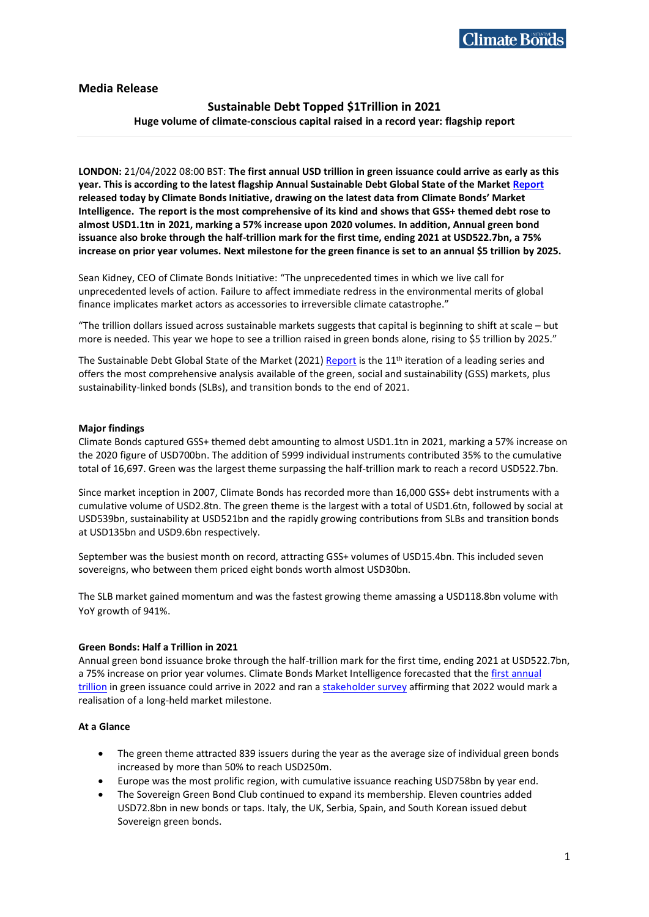

**Media Release**

# **Sustainable Debt Topped \$1Trillion in 2021**

**Huge volume of climate-conscious capital raised in a record year: flagship report**

**LONDON:** 21/04/2022 08:00 BST: **The first annual USD trillion in green issuance could arrive as early as this year. This is according to the latest flagship Annual Sustainable Debt Global State of the Marke[t Report](https://www.climatebonds.net/resources/reports/sustainable-debt-global-state-market-2021) released today by Climate Bonds Initiative, drawing on the latest data from Climate Bonds' Market Intelligence. The report is the most comprehensive of its kind and shows that GSS+ themed debt rose to almost USD1.1tn in 2021, marking a 57% increase upon 2020 volumes. In addition, Annual green bond issuance also broke through the half-trillion mark for the first time, ending 2021 at USD522.7bn, a 75% increase on prior year volumes. Next milestone for the green finance is set to an annual \$5 trillion by 2025.** 

Sean Kidney, CEO of Climate Bonds Initiative: "The unprecedented times in which we live call for unprecedented levels of action. Failure to affect immediate redress in the environmental merits of global finance implicates market actors as accessories to irreversible climate catastrophe."

"The trillion dollars issued across sustainable markets suggests that capital is beginning to shift at scale – but more is needed. This year we hope to see a trillion raised in green bonds alone, rising to \$5 trillion by 2025."

The Sustainable Debt Global State of the Market (2021) [Report](https://www.climatebonds.net/resources/reports/sustainable-debt-global-state-market-2021) is the 11<sup>th</sup> iteration of a leading series and offers the most comprehensive analysis available of the green, social and sustainability (GSS) markets, plus sustainability-linked bonds (SLBs), and transition bonds to the end of 2021.

### **Major findings**

Climate Bonds captured GSS+ themed debt amounting to almost USD1.1tn in 2021, marking a 57% increase on the 2020 figure of USD700bn. The addition of 5999 individual instruments contributed 35% to the cumulative total of 16,697. Green was the largest theme surpassing the half-trillion mark to reach a record USD522.7bn.

Since market inception in 2007, Climate Bonds has recorded more than 16,000 GSS+ debt instruments with a cumulative volume of USD2.8tn. The green theme is the largest with a total of USD1.6tn, followed by social at USD539bn, sustainability at USD521bn and the rapidly growing contributions from SLBs and transition bonds at USD135bn and USD9.6bn respectively.

September was the busiest month on record, attracting GSS+ volumes of USD15.4bn. This included seven sovereigns, who between them priced eight bonds worth almost USD30bn.

The SLB market gained momentum and was the fastest growing theme amassing a USD118.8bn volume with YoY growth of 941%.

#### **Green Bonds: Half a Trillion in 2021**

Annual green bond issuance broke through the half-trillion mark for the first time, ending 2021 at USD522.7bn, a 75% increase on prior year volumes. Climate Bonds Market Intelligence forecasted that the [first annual](https://www.climatebonds.net/2022/01/500bn-green-issuance-2021-social-and-sustainable-acceleration-annual-green-1tn-sight-market)  [trillion](https://www.climatebonds.net/2022/01/500bn-green-issuance-2021-social-and-sustainable-acceleration-annual-green-1tn-sight-market) in green issuance could arrive in 2022 and ran a [stakeholder survey](https://www.climatebonds.net/resources/press-releases/2021/10/1trillion-annual-green-bond-milestone-tipped-end-2022-5trillion) affirming that 2022 would mark a realisation of a long-held market milestone.

### **At a Glance**

- The green theme attracted 839 issuers during the year as the average size of individual green bonds increased by more than 50% to reach USD250m.
- Europe was the most prolific region, with cumulative issuance reaching USD758bn by year end.
- The Sovereign Green Bond Club continued to expand its membership. Eleven countries added USD72.8bn in new bonds or taps. Italy, the UK, Serbia, Spain, and South Korean issued debut Sovereign green bonds.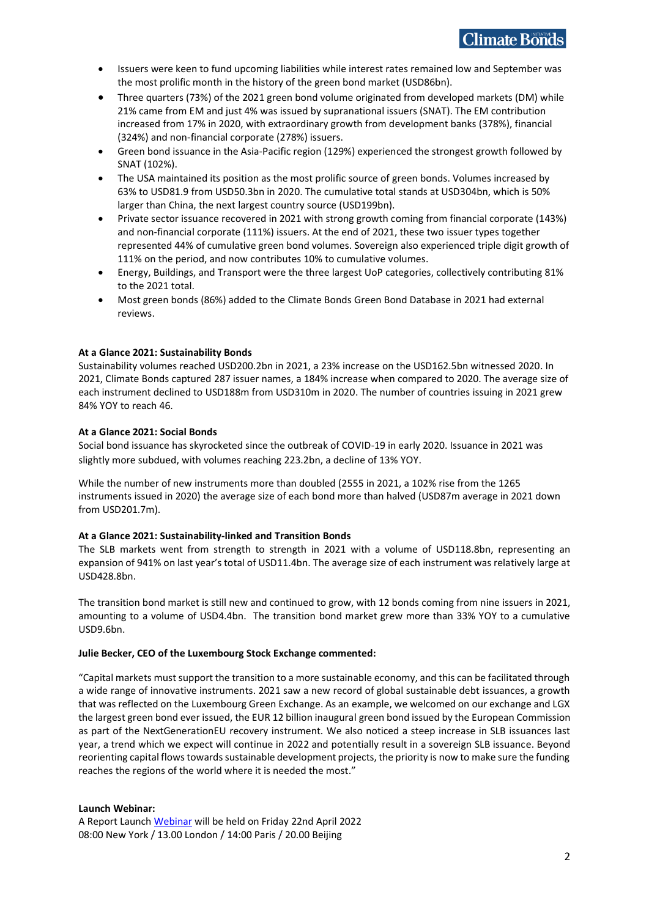- Issuers were keen to fund upcoming liabilities while interest rates remained low and September was the most prolific month in the history of the green bond market (USD86bn).
- Three quarters (73%) of the 2021 green bond volume originated from developed markets (DM) while 21% came from EM and just 4% was issued by supranational issuers (SNAT). The EM contribution increased from 17% in 2020, with extraordinary growth from development banks (378%), financial (324%) and non-financial corporate (278%) issuers.
- Green bond issuance in the Asia-Pacific region (129%) experienced the strongest growth followed by SNAT (102%).
- The USA maintained its position as the most prolific source of green bonds. Volumes increased by 63% to USD81.9 from USD50.3bn in 2020. The cumulative total stands at USD304bn, which is 50% larger than China, the next largest country source (USD199bn).
- Private sector issuance recovered in 2021 with strong growth coming from financial corporate (143%) and non-financial corporate (111%) issuers. At the end of 2021, these two issuer types together represented 44% of cumulative green bond volumes. Sovereign also experienced triple digit growth of 111% on the period, and now contributes 10% to cumulative volumes.
- Energy, Buildings, and Transport were the three largest UoP categories, collectively contributing 81% to the 2021 total.
- Most green bonds (86%) added to the Climate Bonds Green Bond Database in 2021 had external reviews.

## **At a Glance 2021: Sustainability Bonds**

Sustainability volumes reached USD200.2bn in 2021, a 23% increase on the USD162.5bn witnessed 2020. In 2021, Climate Bonds captured 287 issuer names, a 184% increase when compared to 2020. The average size of each instrument declined to USD188m from USD310m in 2020. The number of countries issuing in 2021 grew 84% YOY to reach 46.

### **At a Glance 2021: Social Bonds**

Social bond issuance has skyrocketed since the outbreak of COVID-19 in early 2020. Issuance in 2021 was slightly more subdued, with volumes reaching 223.2bn, a decline of 13% YOY.

While the number of new instruments more than doubled (2555 in 2021, a 102% rise from the 1265 instruments issued in 2020) the average size of each bond more than halved (USD87m average in 2021 down from USD201.7m).

### **At a Glance 2021: Sustainability-linked and Transition Bonds**

The SLB markets went from strength to strength in 2021 with a volume of USD118.8bn, representing an expansion of 941% on last year's total of USD11.4bn. The average size of each instrument was relatively large at USD428.8bn.

The transition bond market is still new and continued to grow, with 12 bonds coming from nine issuers in 2021, amounting to a volume of USD4.4bn. The transition bond market grew more than 33% YOY to a cumulative USD9.6bn.

#### **Julie Becker, CEO of the Luxembourg Stock Exchange commented:**

"Capital markets must support the transition to a more sustainable economy, and this can be facilitated through a wide range of innovative instruments. 2021 saw a new record of global sustainable debt issuances, a growth that was reflected on the Luxembourg Green Exchange. As an example, we welcomed on our exchange and LGX the largest green bond ever issued, the EUR 12 billion inaugural green bond issued by the European Commission as part of the NextGenerationEU recovery instrument. We also noticed a steep increase in SLB issuances last year, a trend which we expect will continue in 2022 and potentially result in a sovereign SLB issuance. Beyond reorienting capital flows towards sustainable development projects, the priority is now to make sure the funding reaches the regions of the world where it is needed the most."

### **Launch Webinar:**

A Report Launch [Webinar](https://climatebonds.zoom.us/webinar/register/6316497791997/WN_tO6vZbXAQQidYQJfYcsqBg) will be held on Friday 22nd April 2022 08:00 New York / 13.00 London / 14:00 Paris / 20.00 Beijing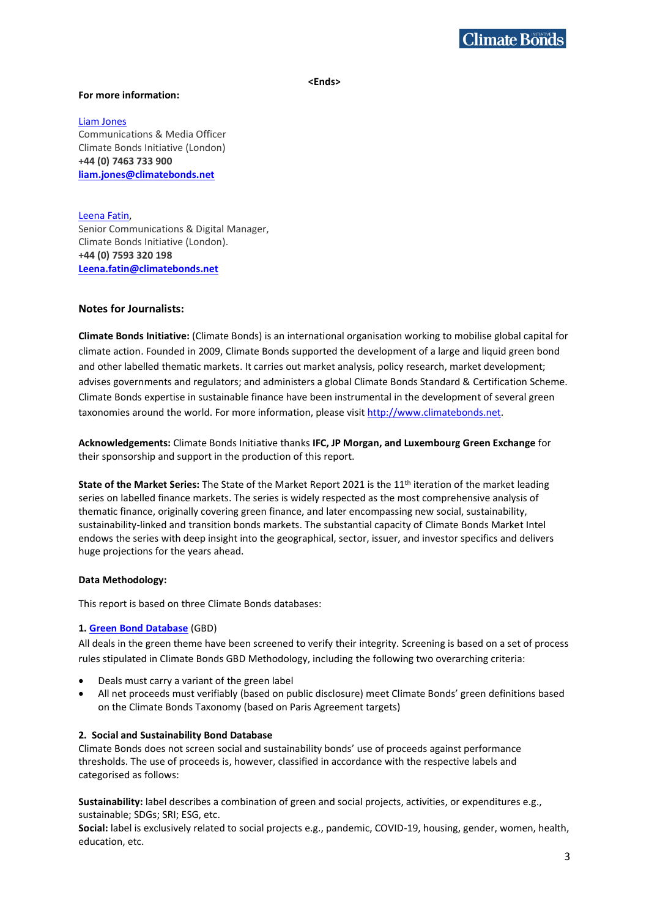

**<Ends>**

#### **For more information:**

[Liam Jones](mailto:liam.jones@climatebonds.net) Communications & Media Officer Climate Bonds Initiative (London) **+44 (0) 7463 733 900 [liam.jones@climatebonds.net](mailto:liam.jones@climatebonds.net)**

[Leena Fatin,](mailto:Leena.fatin@climatebonds.net) Senior Communications & Digital Manager, Climate Bonds Initiative (London). **+44 (0) 7593 320 198 [Leena.fatin@climatebonds.net](mailto:Leena.fatin@climatebonds.net)**

## **Notes for Journalists:**

**Climate Bonds Initiative:** (Climate Bonds) is an international organisation working to mobilise global capital for climate action. Founded in 2009, Climate Bonds supported the development of a large and liquid green bond and other labelled thematic markets. It carries out market analysis, policy research, market development; advises governments and regulators; and administers a global Climate Bonds Standard & Certification Scheme. Climate Bonds expertise in sustainable finance have been instrumental in the development of several green taxonomies around the world. For more information, please visit [http://www.climatebonds.net.](https://www.climatebonds.net/)

**Acknowledgements:** Climate Bonds Initiative thanks **IFC, JP Morgan, and Luxembourg Green Exchange** for their sponsorship and support in the production of this report.

**State of the Market Series:** The State of the Market Report 2021 is the 11th iteration of the market leading series on labelled finance markets. The series is widely respected as the most comprehensive analysis of thematic finance, originally covering green finance, and later encompassing new social, sustainability, sustainability-linked and transition bonds markets. The substantial capacity of Climate Bonds Market Intel endows the series with deep insight into the geographical, sector, issuer, and investor specifics and delivers huge projections for the years ahead.

### **Data Methodology:**

This report is based on three Climate Bonds databases:

### **1. [Green Bond Database](https://www.climatebonds.net/market/green-bond-database-methodology)** (GBD)

All deals in the green theme have been screened to verify their integrity. Screening is based on a set of process rules stipulated in Climate Bonds GBD Methodology, including the following two overarching criteria:

- Deals must carry a variant of the green label
- All net proceeds must verifiably (based on public disclosure) meet Climate Bonds' green definitions based on the Climate Bonds Taxonomy (based on Paris Agreement targets)

#### **2. Social and Sustainability Bond Database**

Climate Bonds does not screen social and sustainability bonds' use of proceeds against performance thresholds. The use of proceeds is, however, classified in accordance with the respective labels and categorised as follows:

**Sustainability:** label describes a combination of green and social projects, activities, or expenditures e.g., sustainable; SDGs; SRI; ESG, etc.

**Social:** label is exclusively related to social projects e.g., pandemic, COVID-19, housing, gender, women, health, education, etc.